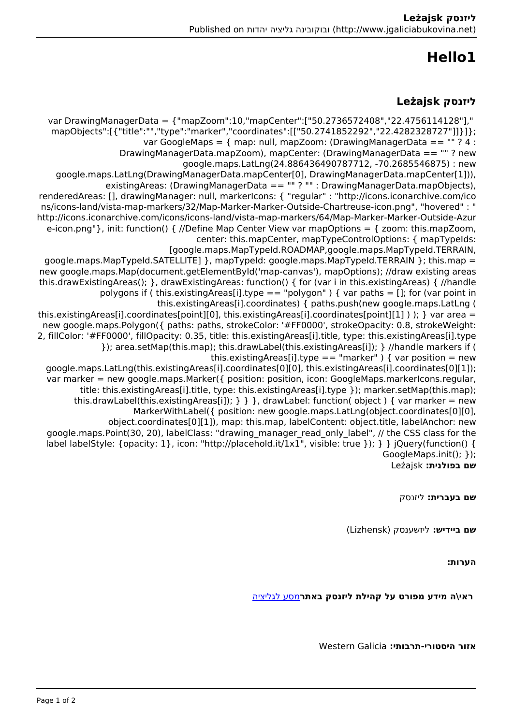## **1Hello**

## **ליזנסק Leżajsk**

var DrawingManagerData = {"mapZoom":10,"mapCenter":["50.2736572408","22.4756114128"]," mapObjects":[{"title":"","type":"marker","coordinates":[["50.2741852292","22.4282328727"]]}]}; var GoogleMaps = { map; null, mapZoom; (DrawingManagerData ==  $"$  ? 4 ; DrawingManagerData.mapZoom), mapCenter: (DrawingManagerData == ""? new google.maps.LatLng(24.886436490787712, -70.2685546875) : new google.maps.LatLng(DrawingManagerData.mapCenter[0], DrawingManagerData.mapCenter[1])),  $\overline{\text{existingArea}}$ : (DrawingManagerData == "" ? "" : DrawingManagerData mapObjects), renderedAreas: [], drawingManager: null, markerIcons: { "regular" : "http://icons.iconarchive.com/ico ns/icons-land/vista-map-markers/32/Map-Marker-Marker-Outside-Chartreuse-icon.png", "hovered" : " http://icons.iconarchive.com/icons/icons-land/vista-map-markers/64/Map-Marker-Marker-Outside-Azur e-icon.png"}, init: function() { //Define Map Center View var mapOptions = { zoom: this mapZoom, center: this mapCenter, mapTypeControlOptions: { mapTypeIds: [google.maps.MapTypeId.ROADMAP,google.maps.MapTypeId.TERRAIN, google.maps.MapTypeId.SATELLITE1 }, mapTypeId: google.maps.MapTypeId.TERRAIN }: this.map = new google.maps.Map(document.getElementById('map-canvas'), mapOptions); //draw existing areas this drawExistingAreas $()$ ; }, drawExistingAreas: function $()$  { for (var i in this existingAreas) { //handle polygons if (this.existingAreas[i].type == "polygon") { var paths = []; for (var point in this.existingAreas[i].coordinates) { paths.push(new google.maps.LatLng ( this existing Areas [i] coordinates [point][0], this existing Areas [i] coordinates [point][1] ) ); } var area = new google maps Polygon({ paths: paths, strokeColor: '#FF0000', strokeOpacity: 0.8, strokeWeight: 2, fillColor: '#FF0000', fillOpacity: 0.35, title: this existingAreas[i] title, type: this existingAreas[i] type }); area.setMap(this.map); this.drawLabel(this.existingAreas[i]); } //handle markers if ( this.existingAreas[i].type == "marker" ) { var position = new google.maps.LatLng(this.existingAreas[i].coordinates[0][0], this.existingAreas[i].coordinates[0][1]); var marker = new google.maps.Marker( $\{$  position: position, icon: GoogleMaps.markerlcons.regular, title: this.existingAreas[i].title, type: this.existingAreas[i].type }); marker.setMap(this.map): this.drawLabel(this.existingAreas[i]);  $\}$  } }, drawLabel: function( object ) { var marker = new MarkerWithLabel({ position: new google.maps.LatLng(object.coordinates[0][0], object.coordinates[0][1]), map: this.map, labelContent: object.title, labelAnchor: new google maps. Point (30, 20), label Class: "drawing manager read only label", // the CSS class for the label labelStyle: {opacity: 1}, icon: "http://placehold.it/1x1", visible: true }); } } jQuery(function() {  $GoogleMaps.int(); \}$ ); **שם בפולנית:** Leżajsk

**שם בעברית:** ליזנסק

**שם ביידיש:** ליזשענסק (Lizhensk(

**הערות:** 

 **ראי\ה מידע מפורט על קהילת ליזנסק באתר**[מסע לגליציה](https://yadzehava.wixsite.com/galicia/-------zl8y3)

**אזור היסטורי-תרבותי:** Galicia Western